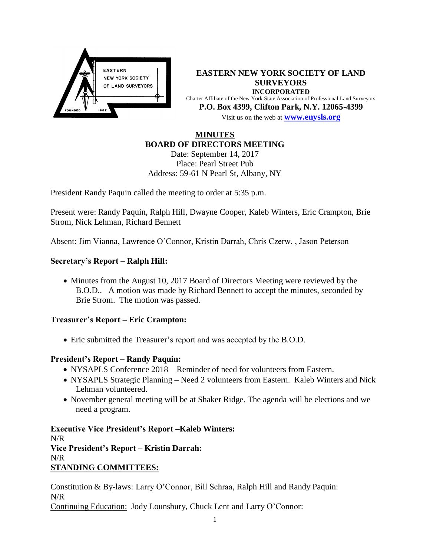

**EASTERN NEW YORK SOCIETY OF LAND SURVEYORS INCORPORATED** Charter Affiliate of the New York State Association of Professional Land Surveyors **P.O. Box 4399, Clifton Park, N.Y. 12065-4399** Visit us on the web at **[www.e](http://www.enysls.org/)nysls.org**

# **MINUTES BOARD OF DIRECTORS MEETING**

Date: September 14, 2017 Place: Pearl Street Pub Address: 59-61 N Pearl St, Albany, NY

President Randy Paquin called the meeting to order at 5:35 p.m.

Present were: Randy Paquin, Ralph Hill, Dwayne Cooper, Kaleb Winters, Eric Crampton, Brie Strom, Nick Lehman, Richard Bennett

Absent: Jim Vianna, Lawrence O'Connor, Kristin Darrah, Chris Czerw, , Jason Peterson

## **Secretary's Report – Ralph Hill:**

• Minutes from the August 10, 2017 Board of Directors Meeting were reviewed by the B.O.D.. A motion was made by Richard Bennett to accept the minutes, seconded by Brie Strom. The motion was passed.

### **Treasurer's Report – Eric Crampton:**

Eric submitted the Treasurer's report and was accepted by the B.O.D.

### **President's Report – Randy Paquin:**

- NYSAPLS Conference 2018 Reminder of need for volunteers from Eastern.
- NYSAPLS Strategic Planning Need 2 volunteers from Eastern. Kaleb Winters and Nick Lehman volunteered.
- November general meeting will be at Shaker Ridge. The agenda will be elections and we need a program.

**Executive Vice President's Report –Kaleb Winters:** N/R **Vice President's Report – Kristin Darrah:**  N/R **STANDING COMMITTEES:**

Constitution & By-laws: Larry O'Connor, Bill Schraa, Ralph Hill and Randy Paquin: N/R Continuing Education: Jody Lounsbury, Chuck Lent and Larry O'Connor: